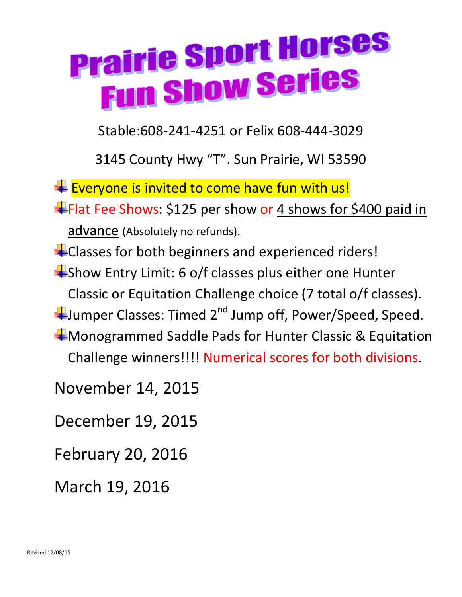## **Prairie Sport Horses airie operaties**

Stable:608-241-4251 or Felix 608-444-3029

3145 County Hwy "T". Sun Prairie, WI 53590

 $E$  Everyone is invited to come have fun with us!

Flat Fee Shows: \$125 per show or 4 shows for \$400 paid in advance (Absolutely no refunds).

**EXP** Classes for both beginners and experienced riders!  $\frac{1}{2}$ Show Entry Limit: 6 o/f classes plus either one Hunter Classic or Equitation Challenge choice (7 total o/f classes). Humper Classes: Timed 2<sup>nd</sup> Jump off, Power/Speed, Speed. **Wonogrammed Saddle Pads for Hunter Classic & Equitation** Challenge winners!!!! Numerical scores for both divisions.

November 14, 2015

December 19, 2015

February 20, 2016

March 19, 2016